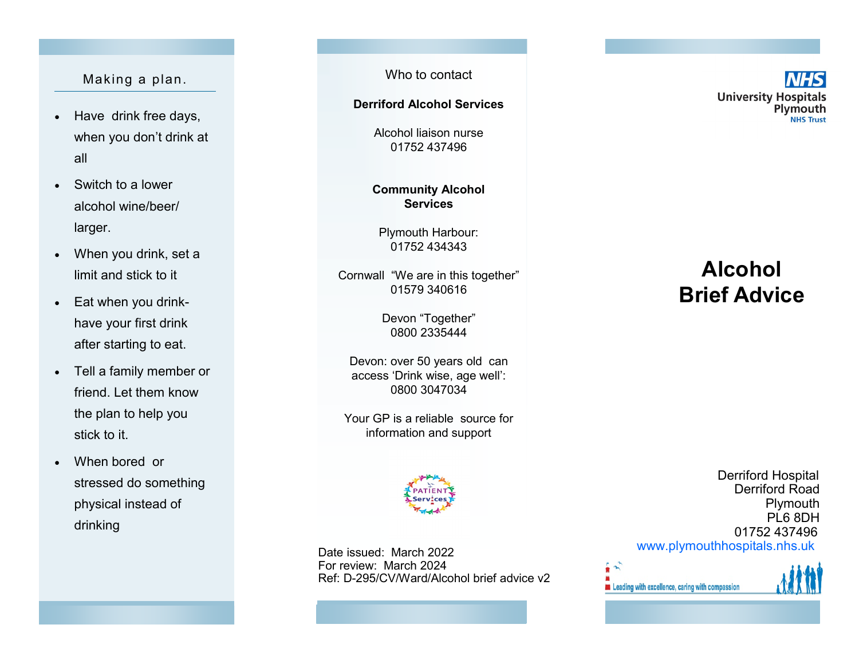### Making a plan.

- Have drink free days, when you don 't drink at all
- Switch to a lower alcohol wine/beer/ larger.
- When you drink, set a limit and stick to it
- Eat when you drink have your first drink after starting to eat.
- Tell a family member or friend. Let them know the plan to help you stick to it.
- When bored or stressed do something physical instead of drinking

Who to contact

### **Derriford Alcohol Services**

Alcohol liaison nurse 01752 437496

### **Community Alcohol Services**

Plymouth Harbour: 01752 434343

Cornwall "We are in this together" 01579 340616

> Devon "Together " 0800 2335444

Devon: over 50 years old can access 'Drink wise, age well': 0800 3047034

Your GP is a reliable source for information and support



Date issued: March 2022 For review: March 2024 Ref: D -295/CV/Ward/Alcohol brief advice v2 **University Hospitals** Plymouth **NHS Trust** 

# **Alcohol Brief Advice**

Derriford Hospital Derriford Road **Plymouth** PL6 8DH 01752 437496 [www.plymouthhospitals.nhs.uk](http://www.plymouthhospitals.nhs.uk)